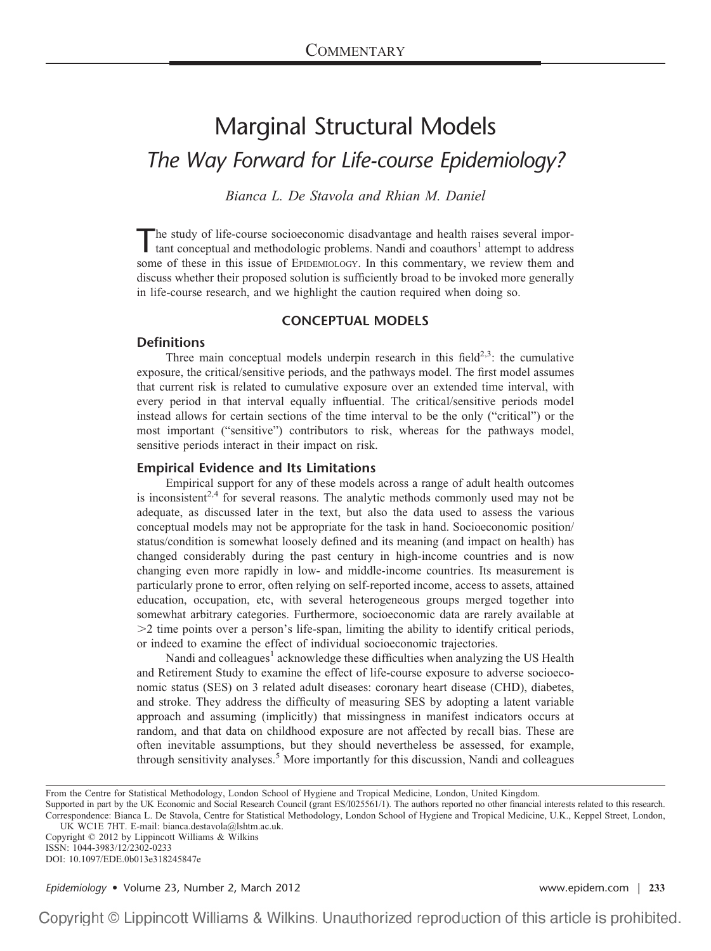# Marginal Structural Models *The Way Forward for Life-course Epidemiology?*

*Bianca L. De Stavola and Rhian M. Daniel*

The study of life-course socioeconomic disadvantage and health raises several important conceptual and methodologic problems. Nandi and coauthors<sup>1</sup> attempt to address some of these in this issue of EPIDEMIOLOGY. In this commentary, we review them and discuss whether their proposed solution is sufficiently broad to be invoked more generally in life-course research, and we highlight the caution required when doing so.

### **CONCEPTUAL MODELS**

### **Definitions**

Three main conceptual models underpin research in this field<sup>2,3</sup>: the cumulative exposure, the critical/sensitive periods, and the pathways model. The first model assumes that current risk is related to cumulative exposure over an extended time interval, with every period in that interval equally influential. The critical/sensitive periods model instead allows for certain sections of the time interval to be the only ("critical") or the most important ("sensitive") contributors to risk, whereas for the pathways model, sensitive periods interact in their impact on risk.

#### **Empirical Evidence and Its Limitations**

Empirical support for any of these models across a range of adult health outcomes is inconsistent<sup>2,4</sup> for several reasons. The analytic methods commonly used may not be adequate, as discussed later in the text, but also the data used to assess the various conceptual models may not be appropriate for the task in hand. Socioeconomic position/ status/condition is somewhat loosely defined and its meaning (and impact on health) has changed considerably during the past century in high-income countries and is now changing even more rapidly in low- and middle-income countries. Its measurement is particularly prone to error, often relying on self-reported income, access to assets, attained education, occupation, etc, with several heterogeneous groups merged together into somewhat arbitrary categories. Furthermore, socioeconomic data are rarely available at  $>$ 2 time points over a person's life-span, limiting the ability to identify critical periods, or indeed to examine the effect of individual socioeconomic trajectories.

Nandi and colleagues<sup>1</sup> acknowledge these difficulties when analyzing the US Health and Retirement Study to examine the effect of life-course exposure to adverse socioeconomic status (SES) on 3 related adult diseases: coronary heart disease (CHD), diabetes, and stroke. They address the difficulty of measuring SES by adopting a latent variable approach and assuming (implicitly) that missingness in manifest indicators occurs at random, and that data on childhood exposure are not affected by recall bias. These are often inevitable assumptions, but they should nevertheless be assessed, for example, through sensitivity analyses.<sup>5</sup> More importantly for this discussion, Nandi and colleagues

From the Centre for Statistical Methodology, London School of Hygiene and Tropical Medicine, London, United Kingdom.

Supported in part by the UK Economic and Social Research Council (grant ES/I025561/1). The authors reported no other financial interests related to this research. Correspondence: Bianca L. De Stavola, Centre for Statistical Methodology, London School of Hygiene and Tropical Medicine, U.K., Keppel Street, London, UK WC1E 7HT. E-mail: [bianca.destavola@lshtm.ac.uk.](bianca.destavola@lshtm.ac.uk)

Copyright © 2012 by Lippincott Williams & Wilkins ISSN: 1044-3983/12/2302-0233 DOI: 10.1097/EDE.0b013e318245847e

*Epidemiology* • Volume 23, Number 2, March 2012 [www.epidem.com](http://www.epidem.com) | **233**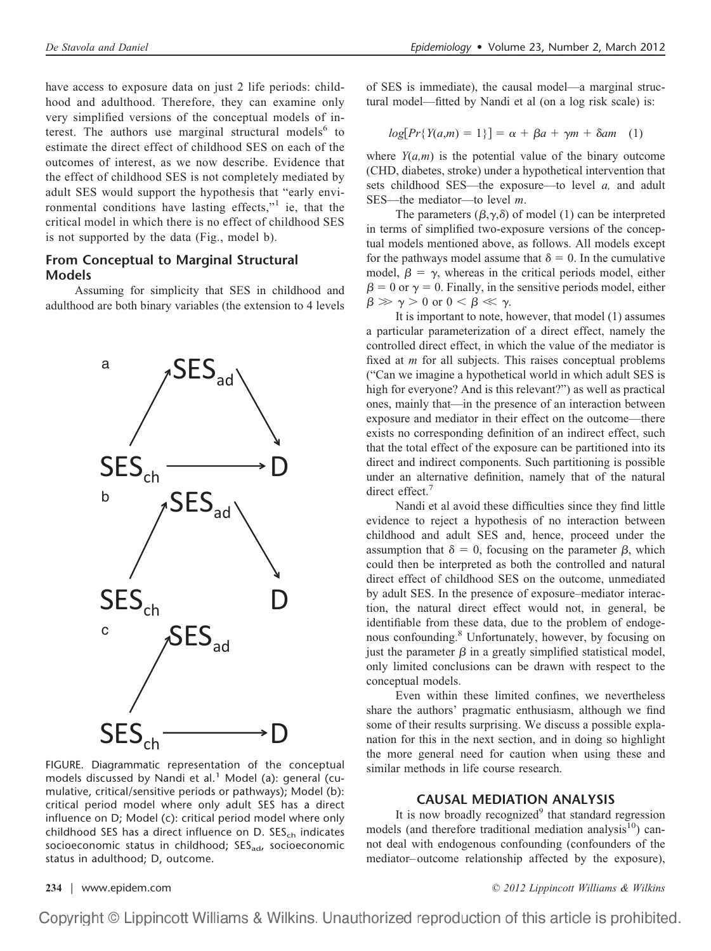have access to exposure data on just 2 life periods: childhood and adulthood. Therefore, they can examine only very simplified versions of the conceptual models of interest. The authors use marginal structural models $6$  to estimate the direct effect of childhood SES on each of the outcomes of interest, as we now describe. Evidence that the effect of childhood SES is not completely mediated by adult SES would support the hypothesis that "early environmental conditions have lasting effects," $\frac{1}{1}$  ie, that the critical model in which there is no effect of childhood SES is not supported by the data (Fig., model b).

### **From Conceptual to Marginal Structural Models**

Assuming for simplicity that SES in childhood and adulthood are both binary variables (the extension to 4 levels



FIGURE. Diagrammatic representation of the conceptual models discussed by Nandi et al. $1$  Model (a): general (cumulative, critical/sensitive periods or pathways); Model (b): critical period model where only adult SES has a direct influence on D; Model (c): critical period model where only childhood SES has a direct influence on D. SES<sub>ch</sub> indicates socioeconomic status in childhood;  $SES_{ad}$ , socioeconomic status in adulthood; D, outcome.

of SES is immediate), the causal model—a marginal structural model—fitted by Nandi et al (on a log risk scale) is:

$$
log[Pr{Y(a,m) = 1}] = \alpha + \beta a + \gamma m + \delta a m \quad (1)
$$

where  $Y(a,m)$  is the potential value of the binary outcome (CHD, diabetes, stroke) under a hypothetical intervention that sets childhood SES—the exposure—to level *a,* and adult SES—the mediator—to level *m*.

The parameters  $(\beta, \gamma, \delta)$  of model (1) can be interpreted in terms of simplified two-exposure versions of the conceptual models mentioned above, as follows. All models except for the pathways model assume that  $\delta = 0$ . In the cumulative model,  $\beta = \gamma$ , whereas in the critical periods model, either  $\beta = 0$  or  $\gamma = 0$ . Finally, in the sensitive periods model, either  $\beta \gg \gamma > 0$  or  $0 < \beta \ll \gamma$ .

It is important to note, however, that model (1) assumes a particular parameterization of a direct effect, namely the controlled direct effect, in which the value of the mediator is fixed at *m* for all subjects. This raises conceptual problems ("Can we imagine a hypothetical world in which adult SES is high for everyone? And is this relevant?") as well as practical ones, mainly that—in the presence of an interaction between exposure and mediator in their effect on the outcome—there exists no corresponding definition of an indirect effect, such that the total effect of the exposure can be partitioned into its direct and indirect components. Such partitioning is possible under an alternative definition, namely that of the natural direct effect.<sup>7</sup>

Nandi et al avoid these difficulties since they find little evidence to reject a hypothesis of no interaction between childhood and adult SES and, hence, proceed under the assumption that  $\delta = 0$ , focusing on the parameter  $\beta$ , which could then be interpreted as both the controlled and natural direct effect of childhood SES on the outcome, unmediated by adult SES. In the presence of exposure–mediator interaction, the natural direct effect would not, in general, be identifiable from these data, due to the problem of endogenous confounding.8 Unfortunately, however, by focusing on just the parameter  $\beta$  in a greatly simplified statistical model, only limited conclusions can be drawn with respect to the conceptual models.

Even within these limited confines, we nevertheless share the authors' pragmatic enthusiasm, although we find some of their results surprising. We discuss a possible explanation for this in the next section, and in doing so highlight the more general need for caution when using these and similar methods in life course research.

#### **CAUSAL MEDIATION ANALYSIS**

It is now broadly recognized $9$  that standard regression models (and therefore traditional mediation analysis $10$ ) cannot deal with endogenous confounding (confounders of the mediator– outcome relationship affected by the exposure),

**234** | [www.epidem.com](http://www.epidem.com) *© 2012 Lippincott Williams & Wilkins*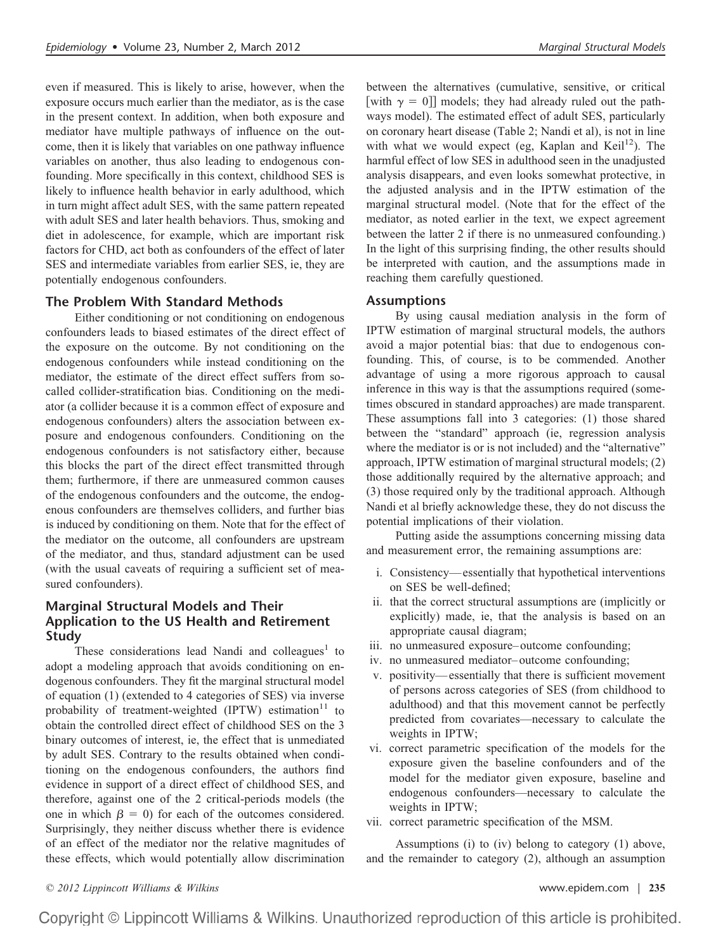even if measured. This is likely to arise, however, when the exposure occurs much earlier than the mediator, as is the case in the present context. In addition, when both exposure and mediator have multiple pathways of influence on the outcome, then it is likely that variables on one pathway influence variables on another, thus also leading to endogenous confounding. More specifically in this context, childhood SES is likely to influence health behavior in early adulthood, which in turn might affect adult SES, with the same pattern repeated with adult SES and later health behaviors. Thus, smoking and diet in adolescence, for example, which are important risk factors for CHD, act both as confounders of the effect of later SES and intermediate variables from earlier SES, ie, they are potentially endogenous confounders.

#### **The Problem With Standard Methods**

Either conditioning or not conditioning on endogenous confounders leads to biased estimates of the direct effect of the exposure on the outcome. By not conditioning on the endogenous confounders while instead conditioning on the mediator, the estimate of the direct effect suffers from socalled collider-stratification bias. Conditioning on the mediator (a collider because it is a common effect of exposure and endogenous confounders) alters the association between exposure and endogenous confounders. Conditioning on the endogenous confounders is not satisfactory either, because this blocks the part of the direct effect transmitted through them; furthermore, if there are unmeasured common causes of the endogenous confounders and the outcome, the endogenous confounders are themselves colliders, and further bias is induced by conditioning on them. Note that for the effect of the mediator on the outcome, all confounders are upstream of the mediator, and thus, standard adjustment can be used (with the usual caveats of requiring a sufficient set of measured confounders).

#### **Marginal Structural Models and Their Application to the US Health and Retirement Study**

These considerations lead Nandi and colleagues<sup>1</sup> to adopt a modeling approach that avoids conditioning on endogenous confounders. They fit the marginal structural model of equation (1) (extended to 4 categories of SES) via inverse probability of treatment-weighted (IPTW) estimation<sup>11</sup> to obtain the controlled direct effect of childhood SES on the 3 binary outcomes of interest, ie, the effect that is unmediated by adult SES. Contrary to the results obtained when conditioning on the endogenous confounders, the authors find evidence in support of a direct effect of childhood SES, and therefore, against one of the 2 critical-periods models (the one in which  $\beta = 0$ ) for each of the outcomes considered. Surprisingly, they neither discuss whether there is evidence of an effect of the mediator nor the relative magnitudes of these effects, which would potentially allow discrimination

between the alternatives (cumulative, sensitive, or critical [with  $\gamma = 0$ ]] models; they had already ruled out the pathways model). The estimated effect of adult SES, particularly on coronary heart disease (Table 2; Nandi et al), is not in line with what we would expect (eg, Kaplan and Keil $12$ ). The harmful effect of low SES in adulthood seen in the unadjusted analysis disappears, and even looks somewhat protective, in the adjusted analysis and in the IPTW estimation of the marginal structural model. (Note that for the effect of the mediator, as noted earlier in the text, we expect agreement between the latter 2 if there is no unmeasured confounding.) In the light of this surprising finding, the other results should be interpreted with caution, and the assumptions made in reaching them carefully questioned.

#### **Assumptions**

By using causal mediation analysis in the form of IPTW estimation of marginal structural models, the authors avoid a major potential bias: that due to endogenous confounding. This, of course, is to be commended. Another advantage of using a more rigorous approach to causal inference in this way is that the assumptions required (sometimes obscured in standard approaches) are made transparent. These assumptions fall into 3 categories: (1) those shared between the "standard" approach (ie, regression analysis where the mediator is or is not included) and the "alternative" approach, IPTW estimation of marginal structural models; (2) those additionally required by the alternative approach; and (3) those required only by the traditional approach. Although Nandi et al briefly acknowledge these, they do not discuss the potential implications of their violation.

Putting aside the assumptions concerning missing data and measurement error, the remaining assumptions are:

- i. Consistency— essentially that hypothetical interventions on SES be well-defined;
- ii. that the correct structural assumptions are (implicitly or explicitly) made, ie, that the analysis is based on an appropriate causal diagram;
- iii. no unmeasured exposure– outcome confounding;
- iv. no unmeasured mediator– outcome confounding;
- v. positivity— essentially that there is sufficient movement of persons across categories of SES (from childhood to adulthood) and that this movement cannot be perfectly predicted from covariates—necessary to calculate the weights in IPTW;
- vi. correct parametric specification of the models for the exposure given the baseline confounders and of the model for the mediator given exposure, baseline and endogenous confounders—necessary to calculate the weights in IPTW;

vii. correct parametric specification of the MSM.

Assumptions (i) to (iv) belong to category (1) above, and the remainder to category (2), although an assumption

*© 2012 Lippincott Williams & Wilkins* [www.epidem.com](http://www.epidem.com) | **235**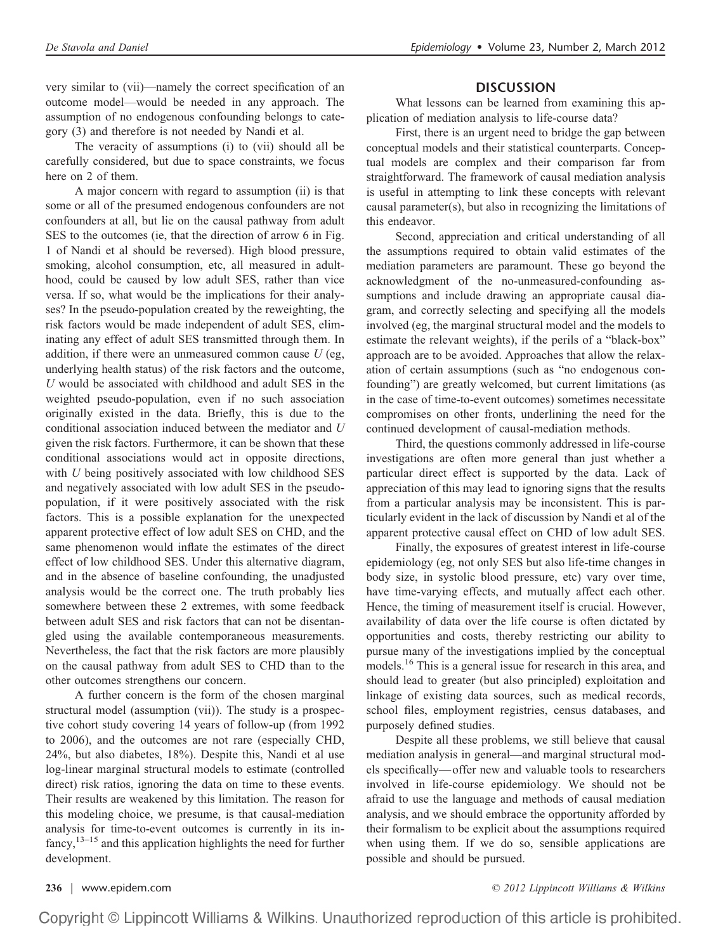very similar to (vii)—namely the correct specification of an outcome model—would be needed in any approach. The assumption of no endogenous confounding belongs to category (3) and therefore is not needed by Nandi et al.

The veracity of assumptions (i) to (vii) should all be carefully considered, but due to space constraints, we focus here on 2 of them.

A major concern with regard to assumption (ii) is that some or all of the presumed endogenous confounders are not confounders at all, but lie on the causal pathway from adult SES to the outcomes (ie, that the direction of arrow 6 in Fig. 1 of Nandi et al should be reversed). High blood pressure, smoking, alcohol consumption, etc, all measured in adulthood, could be caused by low adult SES, rather than vice versa. If so, what would be the implications for their analyses? In the pseudo-population created by the reweighting, the risk factors would be made independent of adult SES, eliminating any effect of adult SES transmitted through them. In addition, if there were an unmeasured common cause *U* (eg, underlying health status) of the risk factors and the outcome, *U* would be associated with childhood and adult SES in the weighted pseudo-population, even if no such association originally existed in the data. Briefly, this is due to the conditional association induced between the mediator and *U* given the risk factors. Furthermore, it can be shown that these conditional associations would act in opposite directions, with *U* being positively associated with low childhood SES and negatively associated with low adult SES in the pseudopopulation, if it were positively associated with the risk factors. This is a possible explanation for the unexpected apparent protective effect of low adult SES on CHD, and the same phenomenon would inflate the estimates of the direct effect of low childhood SES. Under this alternative diagram, and in the absence of baseline confounding, the unadjusted analysis would be the correct one. The truth probably lies somewhere between these 2 extremes, with some feedback between adult SES and risk factors that can not be disentangled using the available contemporaneous measurements. Nevertheless, the fact that the risk factors are more plausibly on the causal pathway from adult SES to CHD than to the other outcomes strengthens our concern.

A further concern is the form of the chosen marginal structural model (assumption (vii)). The study is a prospective cohort study covering 14 years of follow-up (from 1992 to 2006), and the outcomes are not rare (especially CHD, 24%, but also diabetes, 18%). Despite this, Nandi et al use log-linear marginal structural models to estimate (controlled direct) risk ratios, ignoring the data on time to these events. Their results are weakened by this limitation. The reason for this modeling choice, we presume, is that causal-mediation analysis for time-to-event outcomes is currently in its infancy,  $13-15$  and this application highlights the need for further development.

#### **DISCUSSION**

What lessons can be learned from examining this application of mediation analysis to life-course data?

First, there is an urgent need to bridge the gap between conceptual models and their statistical counterparts. Conceptual models are complex and their comparison far from straightforward. The framework of causal mediation analysis is useful in attempting to link these concepts with relevant causal parameter(s), but also in recognizing the limitations of this endeavor.

Second, appreciation and critical understanding of all the assumptions required to obtain valid estimates of the mediation parameters are paramount. These go beyond the acknowledgment of the no-unmeasured-confounding assumptions and include drawing an appropriate causal diagram, and correctly selecting and specifying all the models involved (eg, the marginal structural model and the models to estimate the relevant weights), if the perils of a "black-box" approach are to be avoided. Approaches that allow the relaxation of certain assumptions (such as "no endogenous confounding") are greatly welcomed, but current limitations (as in the case of time-to-event outcomes) sometimes necessitate compromises on other fronts, underlining the need for the continued development of causal-mediation methods.

Third, the questions commonly addressed in life-course investigations are often more general than just whether a particular direct effect is supported by the data. Lack of appreciation of this may lead to ignoring signs that the results from a particular analysis may be inconsistent. This is particularly evident in the lack of discussion by Nandi et al of the apparent protective causal effect on CHD of low adult SES.

Finally, the exposures of greatest interest in life-course epidemiology (eg, not only SES but also life-time changes in body size, in systolic blood pressure, etc) vary over time, have time-varying effects, and mutually affect each other. Hence, the timing of measurement itself is crucial. However, availability of data over the life course is often dictated by opportunities and costs, thereby restricting our ability to pursue many of the investigations implied by the conceptual models.<sup>16</sup> This is a general issue for research in this area, and should lead to greater (but also principled) exploitation and linkage of existing data sources, such as medical records, school files, employment registries, census databases, and purposely defined studies.

Despite all these problems, we still believe that causal mediation analysis in general—and marginal structural models specifically— offer new and valuable tools to researchers involved in life-course epidemiology. We should not be afraid to use the language and methods of causal mediation analysis, and we should embrace the opportunity afforded by their formalism to be explicit about the assumptions required when using them. If we do so, sensible applications are possible and should be pursued.

**236** | [www.epidem.com](http://www.epidem.com) *© 2012 Lippincott Williams & Wilkins*